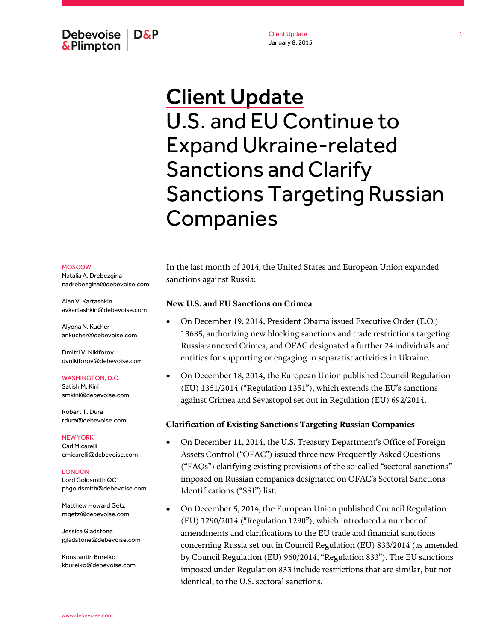Debevoise  $\overline{ }$  D&P **&Plimpton** 

Client Update January 8, 2015

# Client Update U.S. and EU Continue to Expand Ukraine-related Sanctions and Clarify Sanctions Targeting Russian **Companies**

#### MOSCOW

Natalia A. Drebezgina nadrebezgina@debevoise.com

Alan V. Kartashkin avkartashkin@debevoise.com

Alyona N. Kucher ankucher@debevoise.com

Dmitri V. Nikiforov dvnikiforov@debevoise.com

#### WASHINGTON, D.C.

Satish M. Kini smkini@debevoise.com

Robert T. Dura rdura@debevoise.com

#### NEW YORK

Carl Micarelli cmicarelli@debevoise.com

**LONDON** Lord Goldsmith QC phgoldsmith@debevoise.com

Matthew Howard Getz mgetz@debevoise.com

Jessica Gladstone jgladstone@debevoise.com

Konstantin Bureiko kbureiko@debevoise.com In the last month of 2014, the United States and European Union expanded sanctions against Russia:

## **New U.S. and EU Sanctions on Crimea**

- On December 19, 2014, President Obama issued Executive Order (E.O.) 13685, authorizing new blocking sanctions and trade restrictions targeting Russia-annexed Crimea, and OFAC designated a further 24 individuals and entities for supporting or engaging in separatist activities in Ukraine.
- On December 18, 2014, the European Union published Council Regulation (EU) 1351/2014 ("Regulation 1351"), which extends the EU's sanctions against Crimea and Sevastopol set out in Regulation (EU) 692/2014.

### **Clarification of Existing Sanctions Targeting Russian Companies**

- On December 11, 2014, the U.S. Treasury Department's Office of Foreign Assets Control ("OFAC") issued three new Frequently Asked Questions ("FAQs") clarifying existing provisions of the so-called "sectoral sanctions" imposed on Russian companies designated on OFAC's Sectoral Sanctions Identifications ("SSI") list.
- On December 5, 2014, the European Union published Council Regulation (EU) 1290/2014 ("Regulation 1290"), which introduced a number of amendments and clarifications to the EU trade and financial sanctions concerning Russia set out in Council Regulation (EU) 833/2014 (as amended by Council Regulation (EU) 960/2014, "Regulation 833"). The EU sanctions imposed under Regulation 833 include restrictions that are similar, but not identical, to the U.S. sectoral sanctions.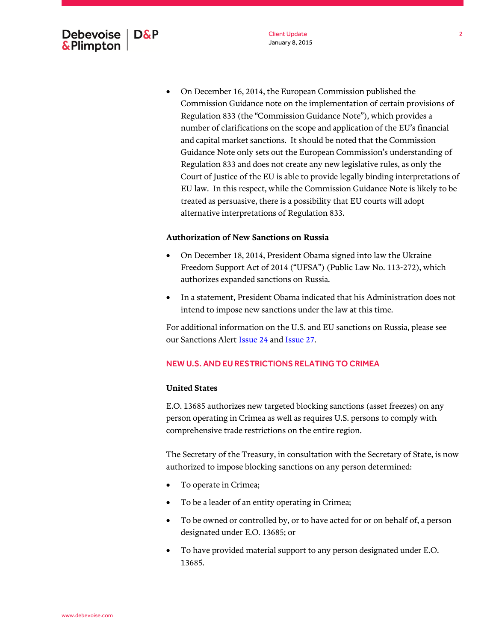- **Authorization of New Sanctions on Russia**
	- On December 18, 2014, President Obama signed into law the Ukraine Freedom Support Act of 2014 ("UFSA") (Public Law No. 113-272), which authorizes expanded sanctions on Russia.

treated as persuasive, there is a possibility that EU courts will adopt

 In a statement, President Obama indicated that his Administration does not intend to impose new sanctions under the law at this time.

For additional information on the U.S. and EU sanctions on Russia, please see our Sanctions Aler[t Issue 24](http://www.debevoise.com/insights/publications/2014/08/sanctions-alert) and [Issue 27.](http://www.debevoise.com/insights/publications/2014/09/sanctions-alert-issue-27)

# NEW U.S. AND EU RESTRICTIONS RELATING TO CRIMEA

alternative interpretations of Regulation 833.

# **United States**

E.O. 13685 authorizes new targeted blocking sanctions (asset freezes) on any person operating in Crimea as well as requires U.S. persons to comply with comprehensive trade restrictions on the entire region.

The Secretary of the Treasury, in consultation with the Secretary of State, is now authorized to impose blocking sanctions on any person determined:

- To operate in Crimea;
- To be a leader of an entity operating in Crimea;
- To be owned or controlled by, or to have acted for or on behalf of, a person designated under E.O. 13685; or
- To have provided material support to any person designated under E.O. 13685.

# Debevoise  $\overline{ }$  D&P **&Plimpton**

On December 16, 2014, the European Commission published the

Commission Guidance note on the implementation of certain provisions of

Regulation 833 (the "Commission Guidance Note"), which provides a number of clarifications on the scope and application of the EU's financial and capital market sanctions. It should be noted that the Commission Guidance Note only sets out the European Commission's understanding of Regulation 833 and does not create any new legislative rules, as only the Court of Justice of the EU is able to provide legally binding interpretations of EU law. In this respect, while the Commission Guidance Note is likely to be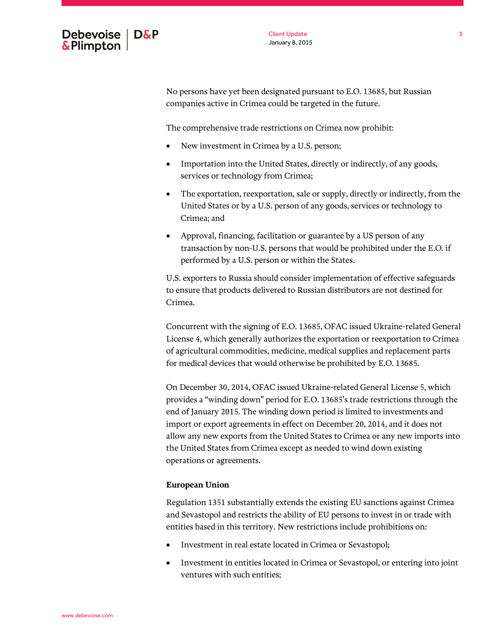

No persons have yet been designated pursuant to E.O. 13685, but Russian companies active in Crimea could be targeted in the future.

The comprehensive trade restrictions on Crimea now prohibit:

- New investment in Crimea by a U.S. person;
- Importation into the United States, directly or indirectly, of any goods, services or technology from Crimea;
- The exportation, reexportation, sale or supply, directly or indirectly, from the United States or by a U.S. person of any goods, services or technology to Crimea; and
- Approval, financing, facilitation or guarantee by a US person of any transaction by non-U.S. persons that would be prohibited under the E.O. if performed by a U.S. person or within the States.

U.S. exporters to Russia should consider implementation of effective safeguards to ensure that products delivered to Russian distributors are not destined for Crimea.

Concurrent with the signing of E.O. 13685, OFAC issued Ukraine-related General License 4, which generally authorizes the exportation or reexportation to Crimea of agricultural commodities, medicine, medical supplies and replacement parts for medical devices that would otherwise be prohibited by E.O. 13685.

On December 30, 2014, OFAC issued Ukraine-related General License 5, which provides a "winding down" period for E.O. 13685's trade restrictions through the end of January 2015. The winding down period is limited to investments and import or export agreements in effect on December 20, 2014, and it does not allow any new exports from the United States to Crimea or any new imports into the United States from Crimea except as needed to wind down existing operations or agreements.

# **European Union**

Regulation 1351 substantially extends the existing EU sanctions against Crimea and Sevastopol and restricts the ability of EU persons to invest in or trade with entities based in this territory. New restrictions include prohibitions on:

- Investment in real estate located in Crimea or Sevastopol;
- Investment in entities located in Crimea or Sevastopol, or entering into joint ventures with such entities;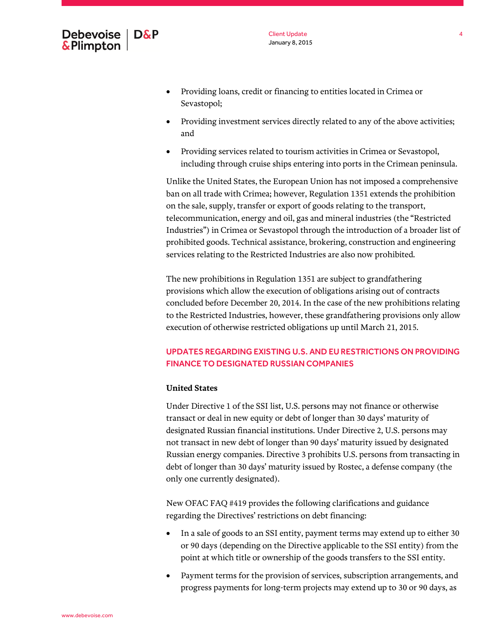

- Providing loans, credit or financing to entities located in Crimea or Sevastopol;
- Providing investment services directly related to any of the above activities; and
- Providing services related to tourism activities in Crimea or Sevastopol, including through cruise ships entering into ports in the Crimean peninsula.

Unlike the United States, the European Union has not imposed a comprehensive ban on all trade with Crimea; however, Regulation 1351 extends the prohibition on the sale, supply, transfer or export of goods relating to the transport, telecommunication, energy and oil, gas and mineral industries (the "Restricted Industries") in Crimea or Sevastopol through the introduction of a broader list of prohibited goods. Technical assistance, brokering, construction and engineering services relating to the Restricted Industries are also now prohibited.

The new prohibitions in Regulation 1351 are subject to grandfathering provisions which allow the execution of obligations arising out of contracts concluded before December 20, 2014. In the case of the new prohibitions relating to the Restricted Industries, however, these grandfathering provisions only allow execution of otherwise restricted obligations up until March 21, 2015.

# UPDATES REGARDING EXISTING U.S. AND EURESTRICTIONS ON PROVIDING FINANCE TO DESIGNATED RUSSIAN COMPANIES

# **United States**

Under Directive 1 of the SSI list, U.S. persons may not finance or otherwise transact or deal in new equity or debt of longer than 30 days' maturity of designated Russian financial institutions. Under Directive 2, U.S. persons may not transact in new debt of longer than 90 days' maturity issued by designated Russian energy companies. Directive 3 prohibits U.S. persons from transacting in debt of longer than 30 days' maturity issued by Rostec, a defense company (the only one currently designated).

New OFAC FAQ #419 provides the following clarifications and guidance regarding the Directives' restrictions on debt financing:

- In a sale of goods to an SSI entity, payment terms may extend up to either 30 or 90 days (depending on the Directive applicable to the SSI entity) from the point at which title or ownership of the goods transfers to the SSI entity.
- Payment terms for the provision of services, subscription arrangements, and progress payments for long-term projects may extend up to 30 or 90 days, as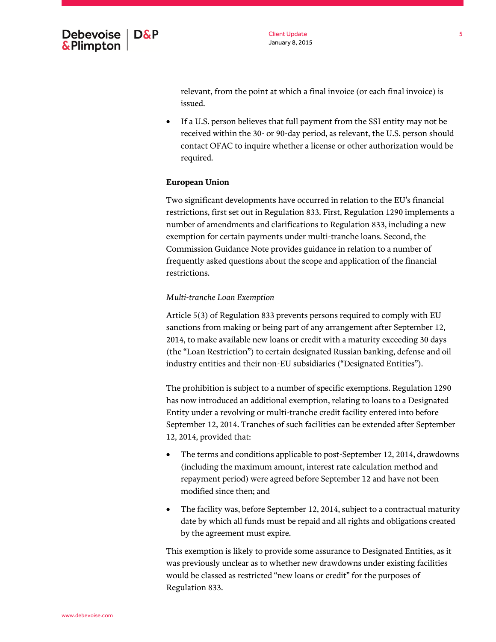

relevant, from the point at which a final invoice (or each final invoice) is issued.

 If a U.S. person believes that full payment from the SSI entity may not be received within the 30- or 90-day period, as relevant, the U.S. person should contact OFAC to inquire whether a license or other authorization would be required.

# **European Union**

Two significant developments have occurred in relation to the EU's financial restrictions, first set out in Regulation 833. First, Regulation 1290 implements a number of amendments and clarifications to Regulation 833, including a new exemption for certain payments under multi-tranche loans. Second, the Commission Guidance Note provides guidance in relation to a number of frequently asked questions about the scope and application of the financial restrictions.

### *Multi-tranche Loan Exemption*

Article 5(3) of Regulation 833 prevents persons required to comply with EU sanctions from making or being part of any arrangement after September 12, 2014, to make available new loans or credit with a maturity exceeding 30 days (the "Loan Restriction") to certain designated Russian banking, defense and oil industry entities and their non-EU subsidiaries ("Designated Entities").

The prohibition is subject to a number of specific exemptions. Regulation 1290 has now introduced an additional exemption, relating to loans to a Designated Entity under a revolving or multi-tranche credit facility entered into before September 12, 2014. Tranches of such facilities can be extended after September 12, 2014, provided that:

- The terms and conditions applicable to post-September 12, 2014, drawdowns (including the maximum amount, interest rate calculation method and repayment period) were agreed before September 12 and have not been modified since then; and
- The facility was, before September 12, 2014, subject to a contractual maturity date by which all funds must be repaid and all rights and obligations created by the agreement must expire.

This exemption is likely to provide some assurance to Designated Entities, as it was previously unclear as to whether new drawdowns under existing facilities would be classed as restricted "new loans or credit" for the purposes of Regulation 833.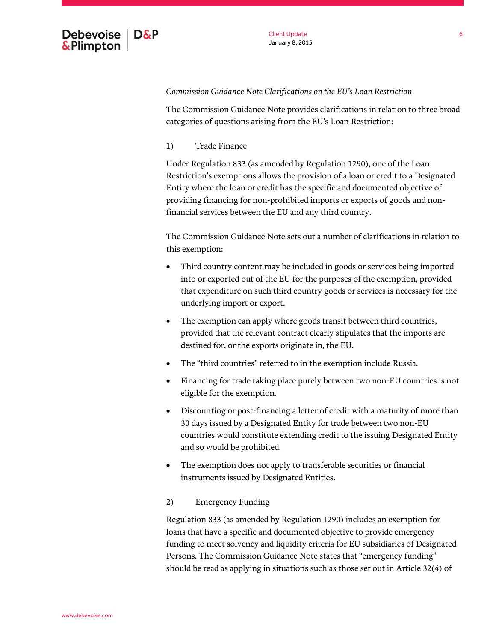

# *Commission Guidance Note Clarifications on the EU's Loan Restriction*

The Commission Guidance Note provides clarifications in relation to three broad categories of questions arising from the EU's Loan Restriction:

1) Trade Finance

Under Regulation 833 (as amended by Regulation 1290), one of the Loan Restriction's exemptions allows the provision of a loan or credit to a Designated Entity where the loan or credit has the specific and documented objective of providing financing for non-prohibited imports or exports of goods and nonfinancial services between the EU and any third country.

The Commission Guidance Note sets out a number of clarifications in relation to this exemption:

- Third country content may be included in goods or services being imported into or exported out of the EU for the purposes of the exemption, provided that expenditure on such third country goods or services is necessary for the underlying import or export.
- The exemption can apply where goods transit between third countries, provided that the relevant contract clearly stipulates that the imports are destined for, or the exports originate in, the EU.
- The "third countries" referred to in the exemption include Russia.
- Financing for trade taking place purely between two non-EU countries is not eligible for the exemption.
- Discounting or post-financing a letter of credit with a maturity of more than 30 days issued by a Designated Entity for trade between two non-EU countries would constitute extending credit to the issuing Designated Entity and so would be prohibited.
- The exemption does not apply to transferable securities or financial instruments issued by Designated Entities.

# 2) Emergency Funding

Regulation 833 (as amended by Regulation 1290) includes an exemption for loans that have a specific and documented objective to provide emergency funding to meet solvency and liquidity criteria for EU subsidiaries of Designated Persons. The Commission Guidance Note states that "emergency funding" should be read as applying in situations such as those set out in Article 32(4) of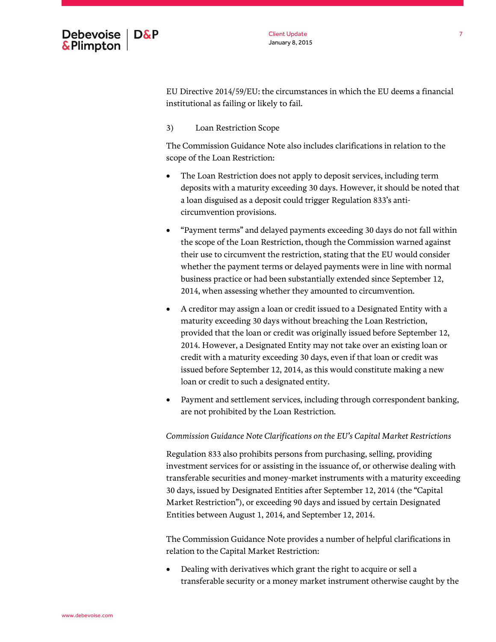

EU Directive 2014/59/EU: the circumstances in which the EU deems a financial institutional as failing or likely to fail.

3) Loan Restriction Scope

The Commission Guidance Note also includes clarifications in relation to the scope of the Loan Restriction:

- The Loan Restriction does not apply to deposit services, including term deposits with a maturity exceeding 30 days. However, it should be noted that a loan disguised as a deposit could trigger Regulation 833's anticircumvention provisions.
- "Payment terms" and delayed payments exceeding 30 days do not fall within the scope of the Loan Restriction, though the Commission warned against their use to circumvent the restriction, stating that the EU would consider whether the payment terms or delayed payments were in line with normal business practice or had been substantially extended since September 12, 2014, when assessing whether they amounted to circumvention.
- A creditor may assign a loan or credit issued to a Designated Entity with a maturity exceeding 30 days without breaching the Loan Restriction, provided that the loan or credit was originally issued before September 12, 2014. However, a Designated Entity may not take over an existing loan or credit with a maturity exceeding 30 days, even if that loan or credit was issued before September 12, 2014, as this would constitute making a new loan or credit to such a designated entity.
- Payment and settlement services, including through correspondent banking, are not prohibited by the Loan Restriction.

*Commission Guidance Note Clarifications on the EU's Capital Market Restrictions* 

Regulation 833 also prohibits persons from purchasing, selling, providing investment services for or assisting in the issuance of, or otherwise dealing with transferable securities and money-market instruments with a maturity exceeding 30 days, issued by Designated Entities after September 12, 2014 (the "Capital Market Restriction"), or exceeding 90 days and issued by certain Designated Entities between August 1, 2014, and September 12, 2014.

The Commission Guidance Note provides a number of helpful clarifications in relation to the Capital Market Restriction:

 Dealing with derivatives which grant the right to acquire or sell a transferable security or a money market instrument otherwise caught by the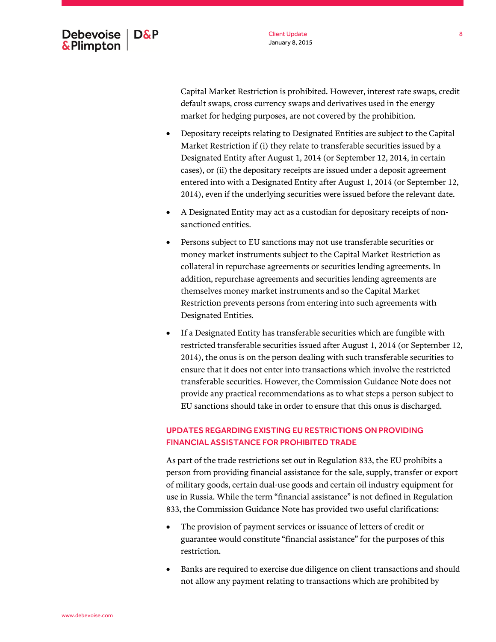

Capital Market Restriction is prohibited. However, interest rate swaps, credit default swaps, cross currency swaps and derivatives used in the energy market for hedging purposes, are not covered by the prohibition.

- Depositary receipts relating to Designated Entities are subject to the Capital Market Restriction if (i) they relate to transferable securities issued by a Designated Entity after August 1, 2014 (or September 12, 2014, in certain cases), or (ii) the depositary receipts are issued under a deposit agreement entered into with a Designated Entity after August 1, 2014 (or September 12, 2014), even if the underlying securities were issued before the relevant date.
- A Designated Entity may act as a custodian for depositary receipts of nonsanctioned entities.
- Persons subject to EU sanctions may not use transferable securities or money market instruments subject to the Capital Market Restriction as collateral in repurchase agreements or securities lending agreements. In addition, repurchase agreements and securities lending agreements are themselves money market instruments and so the Capital Market Restriction prevents persons from entering into such agreements with Designated Entities.
- If a Designated Entity has transferable securities which are fungible with restricted transferable securities issued after August 1, 2014 (or September 12, 2014), the onus is on the person dealing with such transferable securities to ensure that it does not enter into transactions which involve the restricted transferable securities. However, the Commission Guidance Note does not provide any practical recommendations as to what steps a person subject to EU sanctions should take in order to ensure that this onus is discharged.

# UPDATES REGARDING EXISTING EURESTRICTIONS ON PROVIDING FINANCIAL ASSISTANCE FOR PROHIBITED TRADE

As part of the trade restrictions set out in Regulation 833, the EU prohibits a person from providing financial assistance for the sale, supply, transfer or export of military goods, certain dual-use goods and certain oil industry equipment for use in Russia. While the term "financial assistance" is not defined in Regulation 833, the Commission Guidance Note has provided two useful clarifications:

- The provision of payment services or issuance of letters of credit or guarantee would constitute "financial assistance" for the purposes of this restriction.
- Banks are required to exercise due diligence on client transactions and should not allow any payment relating to transactions which are prohibited by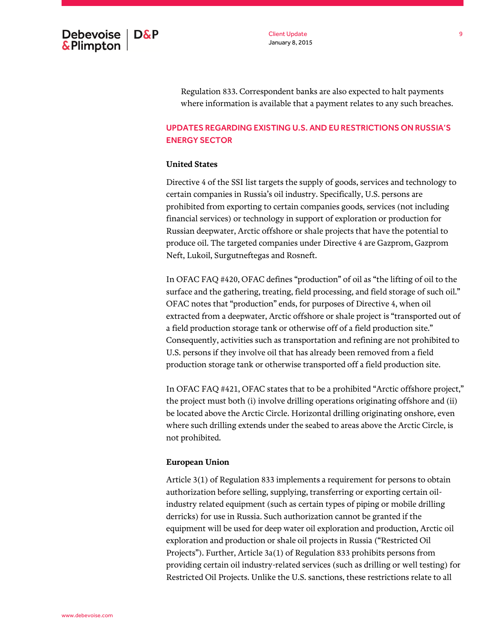

Client Update January 8, 2015

Regulation 833. Correspondent banks are also expected to halt payments where information is available that a payment relates to any such breaches.

# UPDATES REGARDING EXISTING U.S. AND EURESTRICTIONS ON RUSSIA'S ENERGY SECTOR

## **United States**

Directive 4 of the SSI list targets the supply of goods, services and technology to certain companies in Russia's oil industry. Specifically, U.S. persons are prohibited from exporting to certain companies goods, services (not including financial services) or technology in support of exploration or production for Russian deepwater, Arctic offshore or shale projects that have the potential to produce oil. The targeted companies under Directive 4 are Gazprom, Gazprom Neft, Lukoil, Surgutneftegas and Rosneft.

In OFAC FAQ #420, OFAC defines "production" of oil as "the lifting of oil to the surface and the gathering, treating, field processing, and field storage of such oil." OFAC notes that "production" ends, for purposes of Directive 4, when oil extracted from a deepwater, Arctic offshore or shale project is "transported out of a field production storage tank or otherwise off of a field production site." Consequently, activities such as transportation and refining are not prohibited to U.S. persons if they involve oil that has already been removed from a field production storage tank or otherwise transported off a field production site.

In OFAC FAQ #421, OFAC states that to be a prohibited "Arctic offshore project," the project must both (i) involve drilling operations originating offshore and (ii) be located above the Arctic Circle. Horizontal drilling originating onshore, even where such drilling extends under the seabed to areas above the Arctic Circle, is not prohibited.

### **European Union**

Article 3(1) of Regulation 833 implements a requirement for persons to obtain authorization before selling, supplying, transferring or exporting certain oilindustry related equipment (such as certain types of piping or mobile drilling derricks) for use in Russia. Such authorization cannot be granted if the equipment will be used for deep water oil exploration and production, Arctic oil exploration and production or shale oil projects in Russia ("Restricted Oil Projects"). Further, Article 3a(1) of Regulation 833 prohibits persons from providing certain oil industry-related services (such as drilling or well testing) for Restricted Oil Projects. Unlike the U.S. sanctions, these restrictions relate to all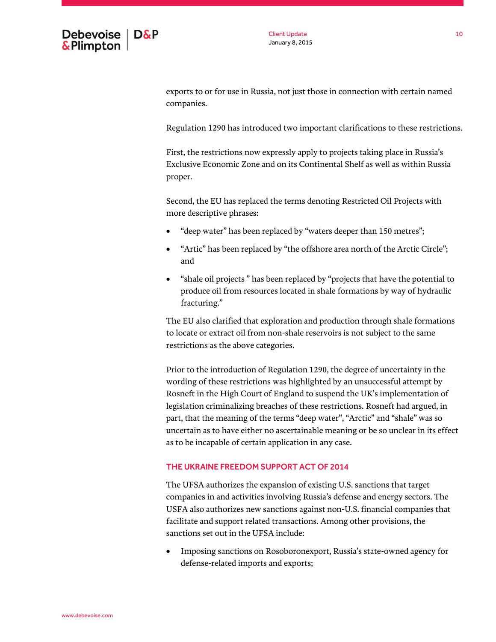

exports to or for use in Russia, not just those in connection with certain named companies.

Regulation 1290 has introduced two important clarifications to these restrictions.

First, the restrictions now expressly apply to projects taking place in Russia's Exclusive Economic Zone and on its Continental Shelf as well as within Russia proper.

Second, the EU has replaced the terms denoting Restricted Oil Projects with more descriptive phrases:

- "deep water" has been replaced by "waters deeper than 150 metres";
- "Artic" has been replaced by "the offshore area north of the Arctic Circle"; and
- "shale oil projects " has been replaced by "projects that have the potential to produce oil from resources located in shale formations by way of hydraulic fracturing."

The EU also clarified that exploration and production through shale formations to locate or extract oil from non-shale reservoirs is not subject to the same restrictions as the above categories.

Prior to the introduction of Regulation 1290, the degree of uncertainty in the wording of these restrictions was highlighted by an unsuccessful attempt by Rosneft in the High Court of England to suspend the UK's implementation of legislation criminalizing breaches of these restrictions. Rosneft had argued, in part, that the meaning of the terms "deep water", "Arctic" and "shale" was so uncertain as to have either no ascertainable meaning or be so unclear in its effect as to be incapable of certain application in any case.

# THE UKRAINE FREEDOM SUPPORT ACT OF 2014

The UFSA authorizes the expansion of existing U.S. sanctions that target companies in and activities involving Russia's defense and energy sectors. The USFA also authorizes new sanctions against non-U.S. financial companies that facilitate and support related transactions. Among other provisions, the sanctions set out in the UFSA include:

 Imposing sanctions on Rosoboronexport, Russia's state-owned agency for defense-related imports and exports;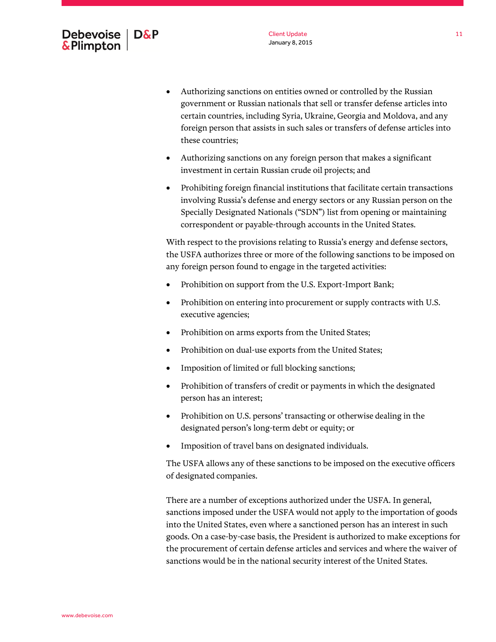www.debevoise.com

11

- Authorizing sanctions on entities owned or controlled by the Russian government or Russian nationals that sell or transfer defense articles into certain countries, including Syria, Ukraine, Georgia and Moldova, and any foreign person that assists in such sales or transfers of defense articles into these countries;
- Authorizing sanctions on any foreign person that makes a significant investment in certain Russian crude oil projects; and
- Prohibiting foreign financial institutions that facilitate certain transactions involving Russia's defense and energy sectors or any Russian person on the Specially Designated Nationals ("SDN") list from opening or maintaining correspondent or payable-through accounts in the United States.

With respect to the provisions relating to Russia's energy and defense sectors, the USFA authorizes three or more of the following sanctions to be imposed on any foreign person found to engage in the targeted activities:

- Prohibition on support from the U.S. Export-Import Bank;
- Prohibition on entering into procurement or supply contracts with U.S. executive agencies;
- Prohibition on arms exports from the United States;
- Prohibition on dual-use exports from the United States;
- Imposition of limited or full blocking sanctions;
- Prohibition of transfers of credit or payments in which the designated person has an interest;
- Prohibition on U.S. persons' transacting or otherwise dealing in the designated person's long-term debt or equity; or
- Imposition of travel bans on designated individuals.

The USFA allows any of these sanctions to be imposed on the executive officers of designated companies.

There are a number of exceptions authorized under the USFA. In general, sanctions imposed under the USFA would not apply to the importation of goods into the United States, even where a sanctioned person has an interest in such goods. On a case-by-case basis, the President is authorized to make exceptions for the procurement of certain defense articles and services and where the waiver of sanctions would be in the national security interest of the United States.